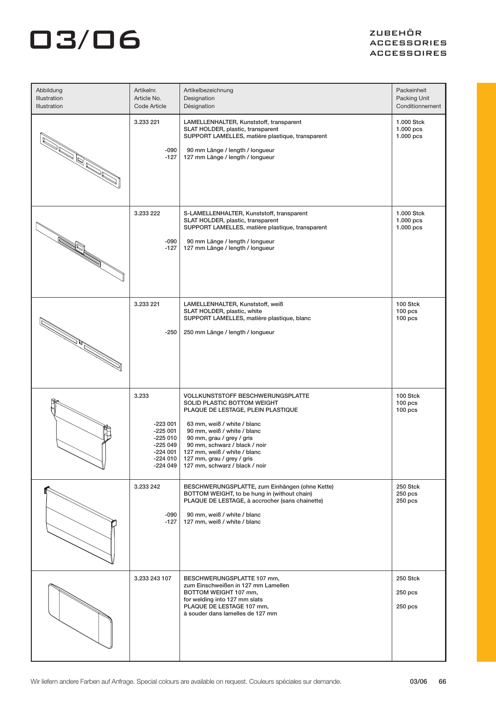# $\overline{\mathbf{a}}$   $\overline{\mathbf{a}}$   $\overline{\mathbf{b}}$   $\overline{\mathbf{b}}$   $\overline{\mathbf{b}}$   $\overline{\mathbf{b}}$   $\overline{\mathbf{b}}$   $\overline{\mathbf{c}}$   $\overline{\mathbf{b}}$   $\overline{\mathbf{c}}$   $\overline{\mathbf{b}}$   $\overline{\mathbf{c}}$   $\overline{\mathbf{b}}$   $\overline{\mathbf{c}}$   $\overline{\mathbf{b}}$   $\overline{\mathbf{c}}$   $\overline{\mathbf{b}}$   $\overline{\mathbf{c}}$   $\overline{\$

### ACCESSORIES ACCESSOIRES

| Abbildung<br>Illustration<br>Illustration                                                                            | Artikelnr.<br>Article No.<br>Code Article                                                      | Artikelbezeichnung<br>Designation<br>Désignation                                                                                                                                                                                                                                                                                          | Packeinheit<br>Packing Unit<br>Conditionnement |
|----------------------------------------------------------------------------------------------------------------------|------------------------------------------------------------------------------------------------|-------------------------------------------------------------------------------------------------------------------------------------------------------------------------------------------------------------------------------------------------------------------------------------------------------------------------------------------|------------------------------------------------|
| Marija (Kalifa)<br>Marija (Kalifa)<br>Marija (Kalifa)                                                                | 3.233 221<br>-090<br>$-127$                                                                    | LAMELLENHALTER, Kunststoff, transparent<br>SLAT HOLDER, plastic, transparent<br>SUPPORT LAMELLES, matière plastique, transparent<br>90 mm Länge / length / longueur<br>127 mm Länge / length / longueur                                                                                                                                   | 1.000 Stck<br>$1.000$ pcs<br>1.000 pcs         |
| in 1990.<br>Popular                                                                                                  | 3.233 222<br>-090<br>$-127$                                                                    | S-LAMELLENHALTER, Kunststoff, transparent<br>SLAT HOLDER, plastic, transparent<br>SUPPORT LAMELLES, matière plastique, transparent<br>90 mm Länge / length / longueur<br>127 mm Länge / length / longueur                                                                                                                                 | 1.000 Stck<br>$1.000$ pcs<br>1.000 pcs         |
| <b>Rochester Strauer Strauer Strauer Strauer Strauer Strauer Strauer Strauer Strauer Strauer Strauer Strauer Str</b> | 3.233 221<br>-250                                                                              | LAMELLENHALTER, Kunststoff, weiß<br>SLAT HOLDER, plastic, white<br>SUPPORT LAMELLES, matière plastique, blanc<br>250 mm Länge / length / longueur                                                                                                                                                                                         | 100 Stck<br>$100$ pcs<br>100 <sub>pos</sub>    |
|                                                                                                                      | 3.233<br>$-223001$<br>$-225001$<br>$-225010$<br>$-225049$<br>$-224001$<br>-224 010<br>-224 049 | <b>VOLLKUNSTSTOFF BESCHWERUNGSPLATTE</b><br>SOLID PLASTIC BOTTOM WEIGHT<br>PLAQUE DE LESTAGE, PLEIN PLASTIQUE<br>63 mm, weiß / white / blanc<br>90 mm, weiß / white / blanc<br>90 mm, grau / grey / gris<br>90 mm, schwarz / black / noir<br>127 mm, weiß / white / blanc<br>127 mm, grau / grey / gris<br>127 mm, schwarz / black / noir | 100 Stck<br>$100$ pcs<br>100 <sub>pos</sub>    |
|                                                                                                                      | 3.233 242<br>-090<br>$-127$                                                                    | BESCHWERUNGSPLATTE, zum Einhängen (ohne Kette)<br>BOTTOM WEIGHT, to be hung in (without chain)<br>PLAQUE DE LESTAGE, à accrocher (sans chainette)<br>90 mm, weiß / white / blanc<br>127 mm, weiß / white / blanc                                                                                                                          | 250 Stck<br>$250$ pcs<br>$250$ pcs             |
|                                                                                                                      | 3.233 243 107                                                                                  | BESCHWERUNGSPLATTE 107 mm,<br>zum Einschweißen in 127 mm Lamellen<br>BOTTOM WEIGHT 107 mm,<br>for welding into 127 mm slats<br>PLAQUE DE LESTAGE 107 mm,<br>à souder dans lamelles de 127 mm                                                                                                                                              | 250 Stck<br>250 pcs<br>$250$ pcs               |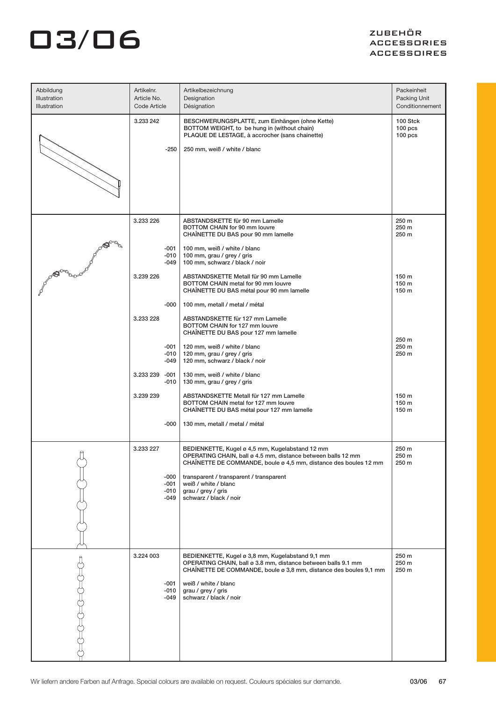# $\overline{\mathbf{a}}$   $\overline{\mathbf{a}}$   $\overline{\mathbf{b}}$   $\overline{\mathbf{b}}$   $\overline{\mathbf{b}}$   $\overline{\mathbf{b}}$   $\overline{\mathbf{b}}$   $\overline{\mathbf{c}}$   $\overline{\mathbf{b}}$   $\overline{\mathbf{c}}$   $\overline{\mathbf{b}}$   $\overline{\mathbf{c}}$   $\overline{\mathbf{b}}$   $\overline{\mathbf{c}}$   $\overline{\mathbf{b}}$   $\overline{\mathbf{c}}$   $\overline{\mathbf{b}}$   $\overline{\mathbf{c}}$   $\overline{\$

### ACCESSORIES ACCESSOIRES

| Abbildung<br>Illustration<br><b>Illustration</b> | Artikelnr.<br>Article No.<br>Code Article     | Artikelbezeichnung<br>Designation<br>Désignation                                                                                                                                                                                                                                                       | Packeinheit<br>Packing Unit<br>Conditionnement       |
|--------------------------------------------------|-----------------------------------------------|--------------------------------------------------------------------------------------------------------------------------------------------------------------------------------------------------------------------------------------------------------------------------------------------------------|------------------------------------------------------|
|                                                  | 3.233 242<br>$-250$                           | BESCHWERUNGSPLATTE, zum Einhängen (ohne Kette)<br>BOTTOM WEIGHT, to be hung in (without chain)<br>PLAQUE DE LESTAGE, à accrocher (sans chainette)<br>250 mm, weiß / white / blanc                                                                                                                      | 100 Stck<br>100 <sub>pos</sub><br>100 <sub>pos</sub> |
|                                                  | 3.233 226<br>$-001$<br>$-010$<br>-049         | ABSTANDSKETTE für 90 mm Lamelle<br>BOTTOM CHAIN for 90 mm louvre<br>CHAÎNETTE DU BAS pour 90 mm lamelle<br>100 mm, weiß / white / blanc<br>100 mm, grau / grey / gris<br>100 mm, schwarz / black / noir                                                                                                | 250 m<br>250 m<br>250 m                              |
|                                                  | 3.239 226<br>$-000$<br>3.233 228              | ABSTANDSKETTE Metall für 90 mm Lamelle<br>BOTTOM CHAIN metal for 90 mm louvre<br>CHAÎNETTE DU BAS métal pour 90 mm lamelle<br>100 mm, metall / metal / métal<br>ABSTANDSKETTE für 127 mm Lamelle                                                                                                       | 150 m<br>150 m<br>150 m                              |
|                                                  | -001<br>$-010$<br>-049<br>3.233 239<br>-001   | BOTTOM CHAIN for 127 mm louvre<br>CHAINETTE DU BAS pour 127 mm lamelle<br>120 mm, weiß / white / blanc<br>120 mm, grau / grey / gris<br>120 mm, schwarz / black / noir<br>130 mm, weiß / white / blanc                                                                                                 | 250 m<br>250 m<br>250 m                              |
|                                                  | $-010$<br>3.239 239<br>$-000$                 | 130 mm, grau / grey / gris<br>ABSTANDSKETTE Metall für 127 mm Lamelle<br>BOTTOM CHAIN metal for 127 mm louvre<br>CHAÎNETTE DU BAS métal pour 127 mm lamelle<br>130 mm, metall / metal / métal                                                                                                          | 150 m<br>150 m<br>150 m                              |
|                                                  | 3.233 227<br>$-000$<br>$-001$<br>-010<br>-049 | BEDIENKETTE, Kugel ø 4,5 mm, Kugelabstand 12 mm<br>OPERATING CHAIN, ball ø 4.5 mm, distance between balls 12 mm<br>CHAÎNETTE DE COMMANDE, boule ø 4,5 mm, distance des boules 12 mm<br>transparent / transparent / transparent<br>weiß / white / blanc<br>grau / grey / gris<br>schwarz / black / noir | 250 m<br>250 m<br>250 m                              |
|                                                  | 3.224 003<br>$-001$<br>-010<br>-049           | BEDIENKETTE, Kugel ø 3,8 mm, Kugelabstand 9,1 mm<br>OPERATING CHAIN, ball ø 3.8 mm, distance between balls 9.1 mm<br>CHAÎNETTE DE COMMANDE, boule ø 3,8 mm, distance des boules 9,1 mm<br>weiß / white / blanc<br>grau / grey / gris<br>schwarz / black / noir                                         | 250 m<br>250 m<br>250 m                              |